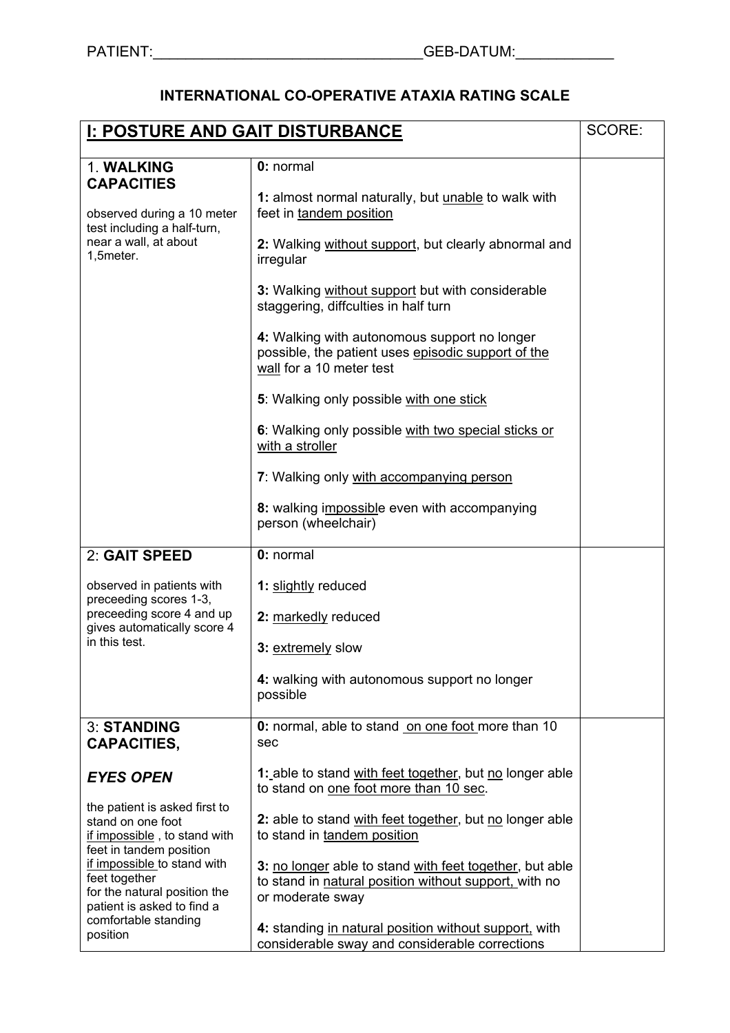## **INTERNATIONAL CO-OPERATIVE ATAXIA RATING SCALE**

| <b>I: POSTURE AND GAIT DISTURBANCE</b>                                                                                           |                                                                                                                                | SCORE: |
|----------------------------------------------------------------------------------------------------------------------------------|--------------------------------------------------------------------------------------------------------------------------------|--------|
|                                                                                                                                  | 0: normal                                                                                                                      |        |
| 1. WALKING<br><b>CAPACITIES</b>                                                                                                  |                                                                                                                                |        |
| observed during a 10 meter<br>test including a half-turn,<br>near a wall, at about<br>1,5meter.                                  | 1: almost normal naturally, but unable to walk with<br>feet in tandem position                                                 |        |
|                                                                                                                                  | 2: Walking without support, but clearly abnormal and<br>irregular                                                              |        |
|                                                                                                                                  | 3: Walking without support but with considerable<br>staggering, diffculties in half turn                                       |        |
|                                                                                                                                  | 4: Walking with autonomous support no longer<br>possible, the patient uses episodic support of the<br>wall for a 10 meter test |        |
|                                                                                                                                  | 5: Walking only possible with one stick                                                                                        |        |
|                                                                                                                                  | 6: Walking only possible with two special sticks or<br>with a stroller                                                         |        |
|                                                                                                                                  | 7: Walking only with accompanying person                                                                                       |        |
|                                                                                                                                  | 8: walking impossible even with accompanying<br>person (wheelchair)                                                            |        |
| 2: GAIT SPEED                                                                                                                    | 0: normal                                                                                                                      |        |
| observed in patients with<br>preceeding scores 1-3,<br>preceeding score 4 and up<br>gives automatically score 4<br>in this test. | 1: slightly reduced                                                                                                            |        |
|                                                                                                                                  | 2: markedly reduced                                                                                                            |        |
|                                                                                                                                  | 3: extremely slow                                                                                                              |        |
|                                                                                                                                  | 4: walking with autonomous support no longer<br>possible                                                                       |        |
| <b>3: STANDING</b><br><b>CAPACITIES,</b>                                                                                         | 0: normal, able to stand on one foot more than 10<br>sec                                                                       |        |
| <b>EYES OPEN</b>                                                                                                                 | 1: able to stand with feet together, but no longer able<br>to stand on one foot more than 10 sec.                              |        |
| the patient is asked first to<br>stand on one foot<br>if impossible, to stand with<br>feet in tandem position                    | 2: able to stand with feet together, but no longer able<br>to stand in tandem position                                         |        |
| if impossible to stand with                                                                                                      | 3: no longer able to stand with feet together, but able                                                                        |        |
| feet together<br>for the natural position the                                                                                    | to stand in natural position without support, with no                                                                          |        |
| patient is asked to find a                                                                                                       | or moderate sway                                                                                                               |        |
| comfortable standing<br>position                                                                                                 | 4: standing in natural position without support, with<br>considerable sway and considerable corrections                        |        |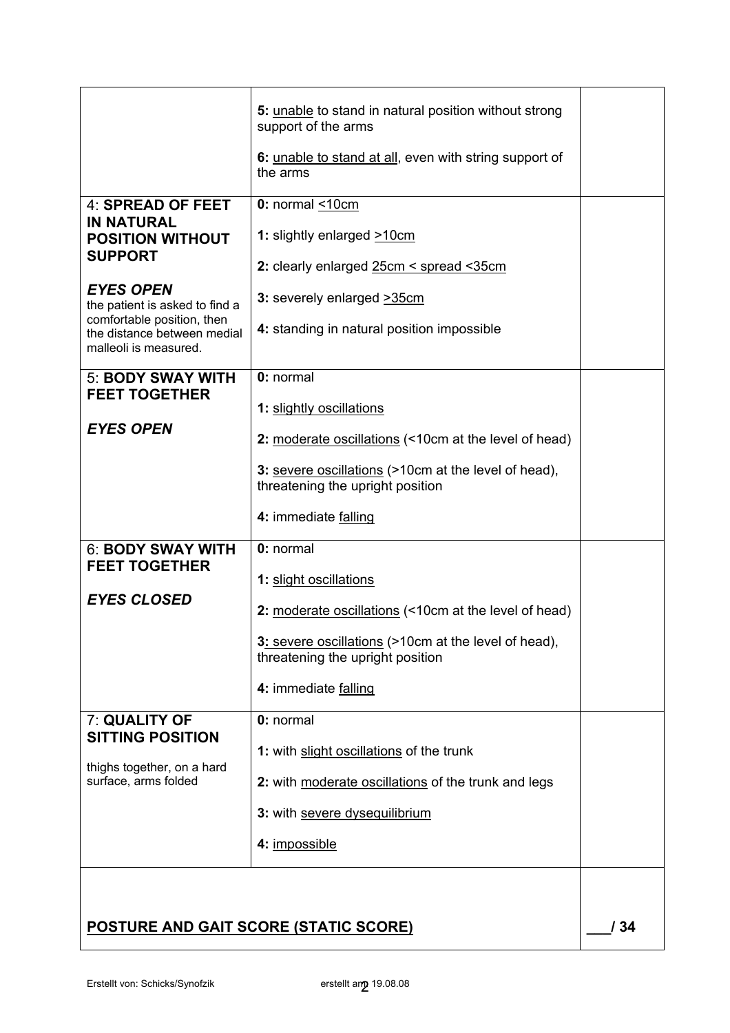|                                                                                                                                                                                                                                 | 5: unable to stand in natural position without strong<br>support of the arms                                                                                          |     |
|---------------------------------------------------------------------------------------------------------------------------------------------------------------------------------------------------------------------------------|-----------------------------------------------------------------------------------------------------------------------------------------------------------------------|-----|
|                                                                                                                                                                                                                                 | 6: unable to stand at all, even with string support of<br>the arms                                                                                                    |     |
| 4: SPREAD OF FEET<br><b>IN NATURAL</b><br><b>POSITION WITHOUT</b><br><b>SUPPORT</b><br><b>EYES OPEN</b><br>the patient is asked to find a<br>comfortable position, then<br>the distance between medial<br>malleoli is measured. | 0: normal <10cm<br>1: slightly enlarged >10cm<br>2: clearly enlarged 25cm < spread < 35cm<br>3: severely enlarged >35cm<br>4: standing in natural position impossible |     |
| <b>5: BODY SWAY WITH</b><br><b>FEET TOGETHER</b>                                                                                                                                                                                | 0: normal<br>1: slightly oscillations                                                                                                                                 |     |
| <b>EYES OPEN</b>                                                                                                                                                                                                                | 2: moderate oscillations (<10cm at the level of head)                                                                                                                 |     |
|                                                                                                                                                                                                                                 | 3: severe oscillations (>10cm at the level of head),<br>threatening the upright position                                                                              |     |
|                                                                                                                                                                                                                                 | 4: immediate falling                                                                                                                                                  |     |
| 6: BODY SWAY WITH<br><b>FEET TOGETHER</b>                                                                                                                                                                                       | 0: normal                                                                                                                                                             |     |
| <b>EYES CLOSED</b>                                                                                                                                                                                                              | 1: slight oscillations<br>2: moderate oscillations (<10cm at the level of head)                                                                                       |     |
|                                                                                                                                                                                                                                 | 3: severe oscillations (>10cm at the level of head),<br>threatening the upright position                                                                              |     |
|                                                                                                                                                                                                                                 | 4: immediate falling                                                                                                                                                  |     |
| 7: QUALITY OF                                                                                                                                                                                                                   | 0: normal                                                                                                                                                             |     |
| <b>SITTING POSITION</b>                                                                                                                                                                                                         | 1: with slight oscillations of the trunk                                                                                                                              |     |
| thighs together, on a hard<br>surface, arms folded                                                                                                                                                                              | 2: with moderate oscillations of the trunk and legs                                                                                                                   |     |
|                                                                                                                                                                                                                                 | 3: with severe dysequilibrium                                                                                                                                         |     |
|                                                                                                                                                                                                                                 | 4: impossible                                                                                                                                                         |     |
|                                                                                                                                                                                                                                 | <b>POSTURE AND GAIT SCORE (STATIC SCORE)</b>                                                                                                                          | 134 |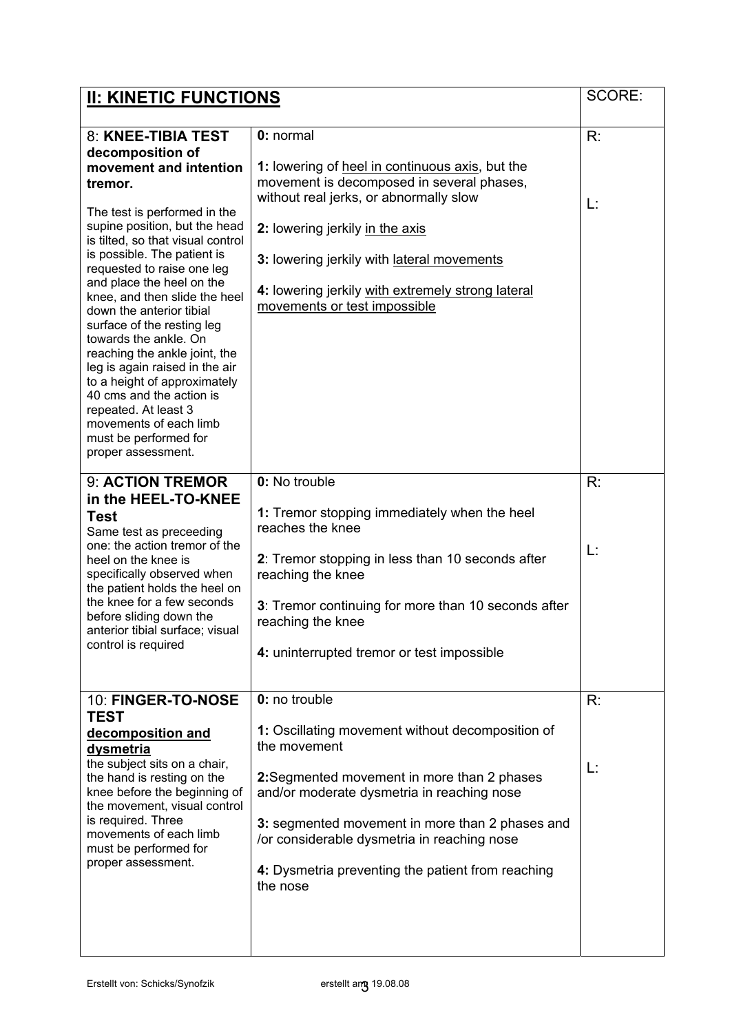| <b>II: KINETIC FUNCTIONS</b>                                                                                                                                                                                                                                                                                                                                                                                                                                                                                                                                                                                                    |                                                                                                                                                                                                                                                                                                                                                          |          |
|---------------------------------------------------------------------------------------------------------------------------------------------------------------------------------------------------------------------------------------------------------------------------------------------------------------------------------------------------------------------------------------------------------------------------------------------------------------------------------------------------------------------------------------------------------------------------------------------------------------------------------|----------------------------------------------------------------------------------------------------------------------------------------------------------------------------------------------------------------------------------------------------------------------------------------------------------------------------------------------------------|----------|
| 8: KNEE-TIBIA TEST<br>decomposition of<br>movement and intention<br>tremor.<br>The test is performed in the<br>supine position, but the head<br>is tilted, so that visual control<br>is possible. The patient is<br>requested to raise one leg<br>and place the heel on the<br>knee, and then slide the heel<br>down the anterior tibial<br>surface of the resting leg<br>towards the ankle. On<br>reaching the ankle joint, the<br>leg is again raised in the air<br>to a height of approximately<br>40 cms and the action is<br>repeated. At least 3<br>movements of each limb<br>must be performed for<br>proper assessment. | 0: normal<br>1: lowering of heel in continuous axis, but the<br>movement is decomposed in several phases,<br>without real jerks, or abnormally slow<br>2: lowering jerkily in the axis<br>3: lowering jerkily with lateral movements<br>4: lowering jerkily with extremely strong lateral<br>movements or test impossible                                | R:<br>L: |
| 9: ACTION TREMOR<br>in the HEEL-TO-KNEE<br><b>Test</b><br>Same test as preceeding<br>one: the action tremor of the<br>heel on the knee is<br>specifically observed when<br>the patient holds the heel on<br>the knee for a few seconds<br>before sliding down the<br>anterior tibial surface: visual<br>control is required                                                                                                                                                                                                                                                                                                     | 0: No trouble<br>1: Tremor stopping immediately when the heel<br>reaches the knee<br>2: Tremor stopping in less than 10 seconds after<br>reaching the knee<br>3: Tremor continuing for more than 10 seconds after<br>reaching the knee<br>4: uninterrupted tremor or test impossible                                                                     | R:<br>L: |
| 10: FINGER-TO-NOSE<br><b>TEST</b><br>decomposition and<br><b>dysmetria</b><br>the subject sits on a chair,<br>the hand is resting on the<br>knee before the beginning of<br>the movement, visual control<br>is required. Three<br>movements of each limb<br>must be performed for<br>proper assessment.                                                                                                                                                                                                                                                                                                                         | 0: no trouble<br>1: Oscillating movement without decomposition of<br>the movement<br><b>2:</b> Segmented movement in more than 2 phases<br>and/or moderate dysmetria in reaching nose<br>3: segmented movement in more than 2 phases and<br>/or considerable dysmetria in reaching nose<br>4: Dysmetria preventing the patient from reaching<br>the nose | R:<br>L: |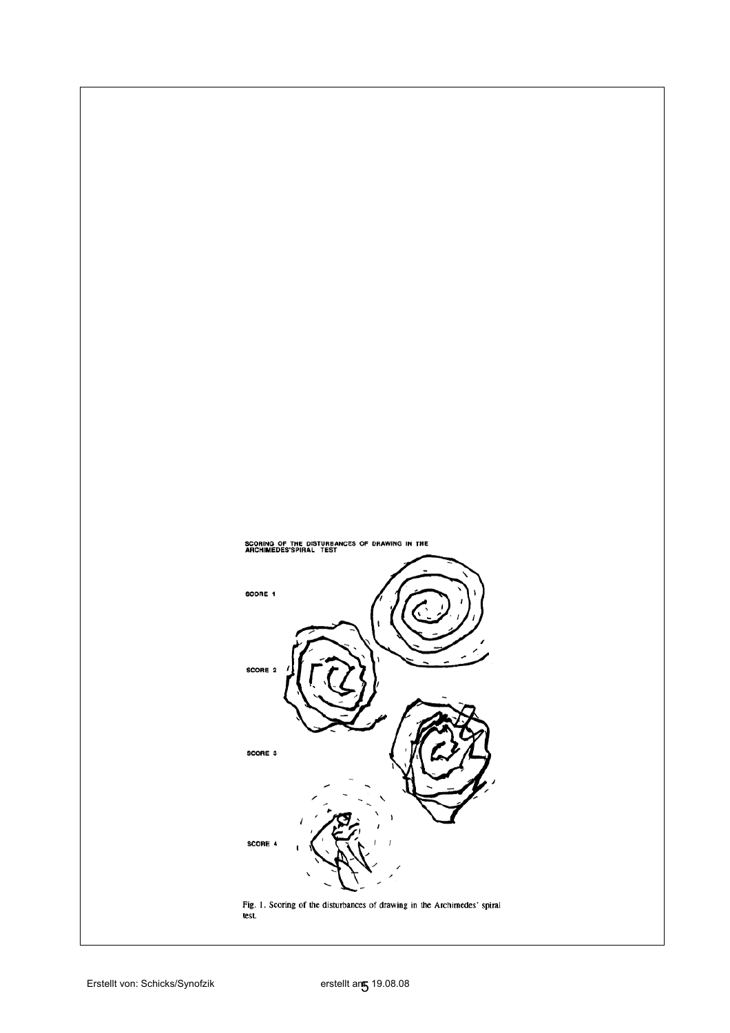